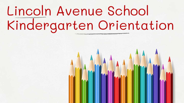## Lincoln Avenue School Kindergarten Orientation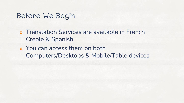#### Before We Begin

✘ Translation Services are available in French Creole & Spanish

✘ You can access them on both Computers/Desktops & Mobile/Table devices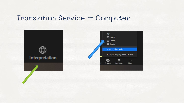#### Translation Service – Computer

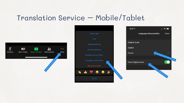### Translation Service – Mobile/Tablet



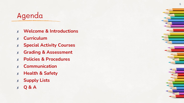### Agenda

- ✘ **Welcome & Introductions**
- ✘ **Curriculum**
- ✘ **Special Activity Courses**
- ✘ **Grading & Assessment**
- ✘ **Policies & Procedures**
- ✘ **Communication**
- ✘ **Health & Safety**
- ✘ **Supply Lists**
- ✘ **Q & A**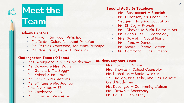## **Meet the**

### **Team**

#### **Administrators**

- Mr. Frank Iannucci, Principal
- Ms. Isabel Colon, Assistant Principal
- Mr. Patrick Yearwood, Assistant Principal
- Mr. Noel Cruz, Dean of Students

#### **Kindergarten Team (K-Team)**

- Mrs. Albuquerque & Mrs. Valderamo
- Ms. Coward & Mrs. Davis
- Mr. Garcia & Ms. Beggy
- Ms. Kabrel & Mr. Lewis
- Mr. Larkin & Ms. Jenkins
- Ms. Williams & Mr. Jackson
- Mrs. Alvarado ESL
- Ms. Zambrano ESL
- Mr. Linfante Resource

#### **Special Activity Teachers**

- Mrs. Betancourt Spanish
- Mr. Dukenson, Ms. Leder, Mr. Yeager – Physical Education
- Mr. St. Joy French
- Mrs. Chavarria & Ms. Palma Art
- Ms. Harris-Lee Technology
- Mrs. Gorsak Vocal Music
- Mrs. Kane Dance
- Mr. Snead Media Center
- Mr. Hammond Instrumental

#### **Student Support Team**

- Mrs. Farrar Nurse
- Mrs. Thomas School Counselor
- Mr. Nicholson Social Worker
- Dr. Guallab, Mrs. Kehr, and Mrs. Petiote  $-$ Child Study Team
- Ms. Desanges Community Liaison
- Mrs. Brown Secretary
- Ms. Davis Secretary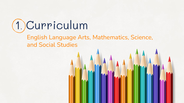1. Curriculum

#### English Language Arts, Mathematics, Science, and Social Studies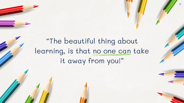### "The beautiful thing about learning, is that no one can take it away from you!"

8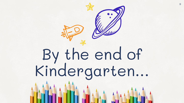

**Primary 12 1244**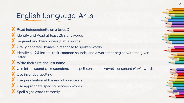### English Language Arts

K Read Independently on a level D Identify and Read at least 25 sight words ✘ Segment and blend one-syllable words Orally generate rhymes in response to spoken words Identify all 26 letters, their common sounds, and a word that begins with the given letter **X** Write their first and last name ✘ Use letter-sound correspondences to spell consonant-vowel-consonant (CVC) words X Use inventive spelling

- X Use punctuation at the end of a sentence
- X Use appropriate spacing between words
- X Spell sight words correctly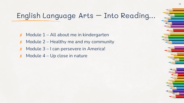11

### English Language Arts – Into Reading…

- $x$  Module 1 All about me in kindergarten
- Module 2 Healthy me and my community
- Module 3 I can persevere in America!
- $x$  Module 4 Up close in nature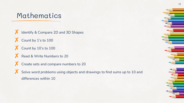#### Mathematics

**X** Identify & Compare 2D and 3D Shapes X Count by 1's to 100 X Count by 10's to 100 X Read & Write Numbers to 20 X Create sets and compare numbers to 20 Solve word problems using objects and drawings to find sums up to 10 and differences within 10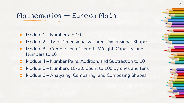#### Mathematics – Eureka Math

- Module 1 Numbers to 10
- Module 2 Two-Dimensional & Three-Dimensional Shapes
- Module 3 Comparison of Length, Weight, Capacity, and Numbers to 10
- Module 4 Number Pairs, Addition, and Subtraction to 10
- Module 5 Numbers 10-20; Count to 100 by ones and tens
- Module 6 Analyzing, Comparing, and Composing Shapes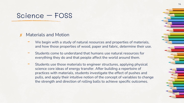#### Science – FOSS

#### Materials and Motion

- We begin with a study of natural resources and properties of materials, and how those properties of wood, paper and fabric, determine their use.
- Students come to understand that humans use natural resources for everything they do and that people affect the world around them.
- Students use those materials to engineer structures, applying physical science core ideas of energy transfer. After building a repertoire of practices with materials, students investigate the effect of pushes and pulls, and apply their intuitive notion of the concept of variables to change the strength and direction of rolling balls to achieve specific outcomes.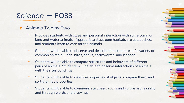#### Science – FOSS

#### ✘ Animals Two by Two

- Provides students with close and personal interaction with some common land and water animals. Appropriate classroom habitats are established, and students learn to care for the animals.
- Students will be able to observe and describe the structures of a variety of common animals - fish, birds, snails, earthworms, and isopods.
- Students will be able to compare structures and behaviors of different pairs of animals. Students will be able to observe interactions of animals with their surroundings.
- Students will be able to describe properties of objects, compare them, and sort them by properties.
- Students will be able to communicate observations and comparisons orally and through words and drawings.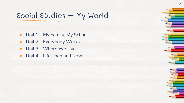### Social Studies – My World

 $x$  Unit  $1 - My Family$ , My School ✘ Unit 2 – Everybody Works ✘ Unit 3 – Where We Live  $x$  Unit 4 – Life Then and Now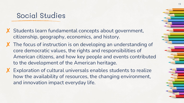#### Social Studies

- Students learn fundamental concepts about government, citizenship, geography, economics, and history.
- X The focus of instruction is on developing an understanding of core democratic values, the rights and responsibilities of American citizens, and how key people and events contributed to the development of the American heritage.
- X Exploration of cultural universals enables students to realize how the availability of resources, the changing environment, and innovation impact everyday life.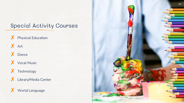#### Special Activity Courses

- X Physical Education
- ✘ Art
- ✘ Dance
- ✘ Vocal Music
- X Technology
- ✘ Library/Media Center



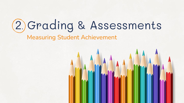## 2. Grading & Assessments Measuring Student Achievement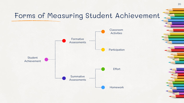### Forms of Measuring Student Achievement



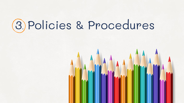## . Policies & Procedures

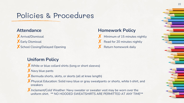### Policies & Procedures

#### **Attendance**

✘Arrival/Dismissal **X** Early Dismissal X School Closing/Delayed Opening

#### **Uniform Policy**

X White or blue collard shirts (long or short sleeves)

X Navy blue pants

✘Bermuda shorts, skirts, or skorts (all at knee length)

✘Physical Education: Solid navy blue or gray sweatpants or shorts, white t-shirt, and sneakers

X Inclement/Cold Weather: Navy sweater or sweater vest may be worn over the uniform shirt. \*\* NO HOODED SWEATSHIRTS ARE PERMITTED AT ANY TIME\*\*

#### **Homework Policy**

 $\chi$  Minimum of 15 minutes nightly Read for 20 minutes nightly Return homework daily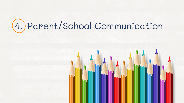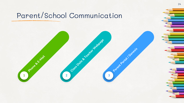### Parent/School Communication

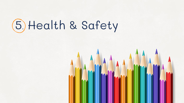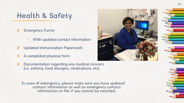#### Health & Safety

#### **Emergency Forms**

- With updated contact information
- Updated Immunization Paperwork
- ✘ A completed physical form
- ✘ Documentation regarding any medical concern (i.e. asthma, food allergies, medications, etc)

In case of emergency, please make sure you have updated contact information as well as emergency contact information on file if you cannot be reached.

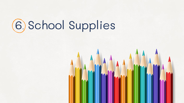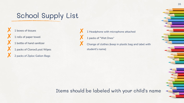### School Supply List

✘ 1 boxes of tissues 1 rolls of paper towel 1 bottle of hand sanitizer 1 packs of Clorox/Lysol Wipes 2 packs of Ziploc Gallon Bags

1 Headphone with microphone attached 1 packs of "Wet Ones" Change of clothes (keep in plastic bag and label with student's name)

Items should be labeled with your child's name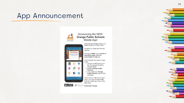#### App Announcement



We have an app.

Ø ⊜

App Store

S

 $\mathbf{r}$  $\vert f \vert$ 

And it's aweso

#### Announcing the NEW **Orange Public Schools** Mobile App!

Designed specifically to keep you better informed, in REAL time!

Available for Apple and Android devices.

The app is FREE and available for download today. You are encouraged to sign up.

Download the new app in 3 easy steps:

- 1. On your smartphone, go to the iTunes App Store® or Google Play®
- 2. Search Orange Public **Schools**
- Public Schools app for free download

School news in the palm of your hand, your new Orange Public Schools mobile app is just a few taps away.

Google play Download it today!

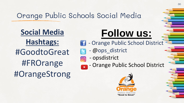### Orange Public Schools Social Media

**Social Media Hashtags:** #GoodtoGreat #FROrange #OrangeStrong

## **Follow us:**

- **11 Orange Public School District** 
	- @ops\_district
- opsdistrict  $\boxed{0}$ 
	- Orange Public School District